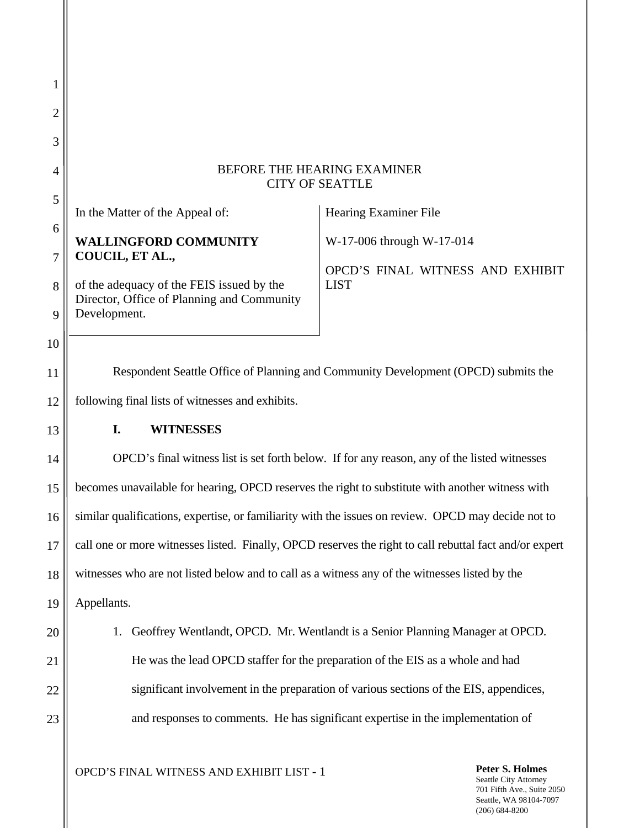| 1              |                                                                                                                                                            |  |  |  |  |
|----------------|------------------------------------------------------------------------------------------------------------------------------------------------------------|--|--|--|--|
| 2              |                                                                                                                                                            |  |  |  |  |
| 3              |                                                                                                                                                            |  |  |  |  |
| $\overline{4}$ | BEFORE THE HEARING EXAMINER<br><b>CITY OF SEATTLE</b>                                                                                                      |  |  |  |  |
| 5              | Hearing Examiner File<br>In the Matter of the Appeal of:                                                                                                   |  |  |  |  |
| 6<br>7         | <b>WALLINGFORD COMMUNITY</b><br>W-17-006 through W-17-014<br>COUCIL, ET AL.,                                                                               |  |  |  |  |
| 8<br>9         | OPCD'S FINAL WITNESS AND EXHIBIT<br><b>LIST</b><br>of the adequacy of the FEIS issued by the<br>Director, Office of Planning and Community<br>Development. |  |  |  |  |
| 10             |                                                                                                                                                            |  |  |  |  |
| 11             | Respondent Seattle Office of Planning and Community Development (OPCD) submits the                                                                         |  |  |  |  |
| 12             | following final lists of witnesses and exhibits.                                                                                                           |  |  |  |  |
| 13             | <b>WITNESSES</b><br>I.                                                                                                                                     |  |  |  |  |
| 14             | OPCD's final witness list is set forth below. If for any reason, any of the listed witnesses                                                               |  |  |  |  |
| 15             | becomes unavailable for hearing, OPCD reserves the right to substitute with another witness with                                                           |  |  |  |  |
| 16             | similar qualifications, expertise, or familiarity with the issues on review. OPCD may decide not to                                                        |  |  |  |  |
| 17             | call one or more witnesses listed. Finally, OPCD reserves the right to call rebuttal fact and/or expert                                                    |  |  |  |  |
| 18             | witnesses who are not listed below and to call as a witness any of the witnesses listed by the                                                             |  |  |  |  |
| 19             | Appellants.                                                                                                                                                |  |  |  |  |
| 20             | Geoffrey Wentlandt, OPCD. Mr. Wentlandt is a Senior Planning Manager at OPCD.                                                                              |  |  |  |  |
| 21             | He was the lead OPCD staffer for the preparation of the EIS as a whole and had                                                                             |  |  |  |  |
| 22             | significant involvement in the preparation of various sections of the EIS, appendices,                                                                     |  |  |  |  |
| 23             | and responses to comments. He has significant expertise in the implementation of                                                                           |  |  |  |  |
|                | Peter S. Holmes<br>OPCD'S FINAL WITNESS AND EXHIBIT LIST - 1                                                                                               |  |  |  |  |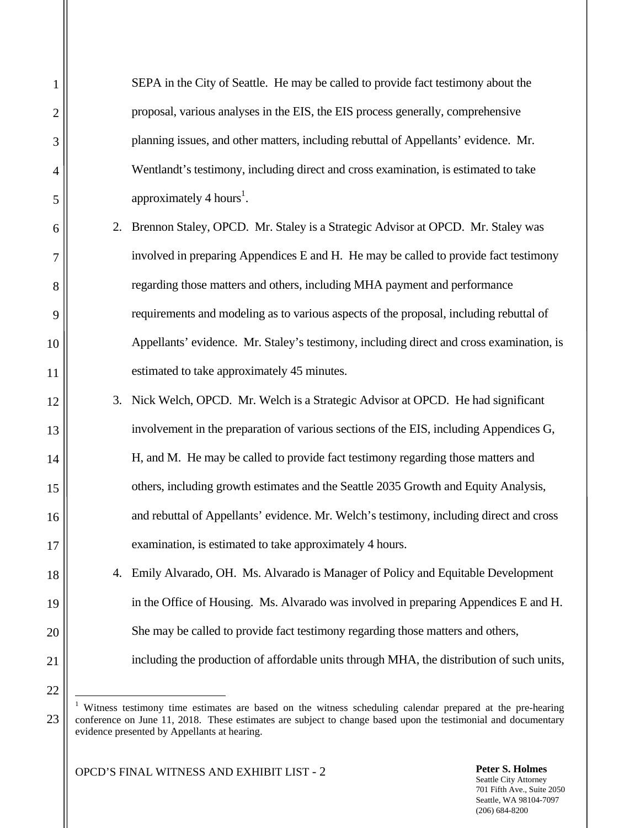SEPA in the City of Seattle. He may be called to provide fact testimony about the proposal, various analyses in the EIS, the EIS process generally, comprehensive planning issues, and other matters, including rebuttal of Appellants' evidence. Mr. Wentlandt's testimony, including direct and cross examination, is estimated to take approximately 4 hours<sup>1</sup>.

- 2. Brennon Staley, OPCD. Mr. Staley is a Strategic Advisor at OPCD. Mr. Staley was involved in preparing Appendices E and H. He may be called to provide fact testimony regarding those matters and others, including MHA payment and performance requirements and modeling as to various aspects of the proposal, including rebuttal of Appellants' evidence. Mr. Staley's testimony, including direct and cross examination, is estimated to take approximately 45 minutes.
- 3. Nick Welch, OPCD. Mr. Welch is a Strategic Advisor at OPCD. He had significant involvement in the preparation of various sections of the EIS, including Appendices G, H, and M. He may be called to provide fact testimony regarding those matters and others, including growth estimates and the Seattle 2035 Growth and Equity Analysis, and rebuttal of Appellants' evidence. Mr. Welch's testimony, including direct and cross examination, is estimated to take approximately 4 hours.
- 4. Emily Alvarado, OH. Ms. Alvarado is Manager of Policy and Equitable Development in the Office of Housing. Ms. Alvarado was involved in preparing Appendices E and H. She may be called to provide fact testimony regarding those matters and others, including the production of affordable units through MHA, the distribution of such units,

 $\overline{a}$ 

OPCD'S FINAL WITNESS AND EXHIBIT LIST - 2 **Peter S. Holmes**

<sup>1</sup> Witness testimony time estimates are based on the witness scheduling calendar prepared at the pre-hearing conference on June 11, 2018. These estimates are subject to change based upon the testimonial and documentary evidence presented by Appellants at hearing.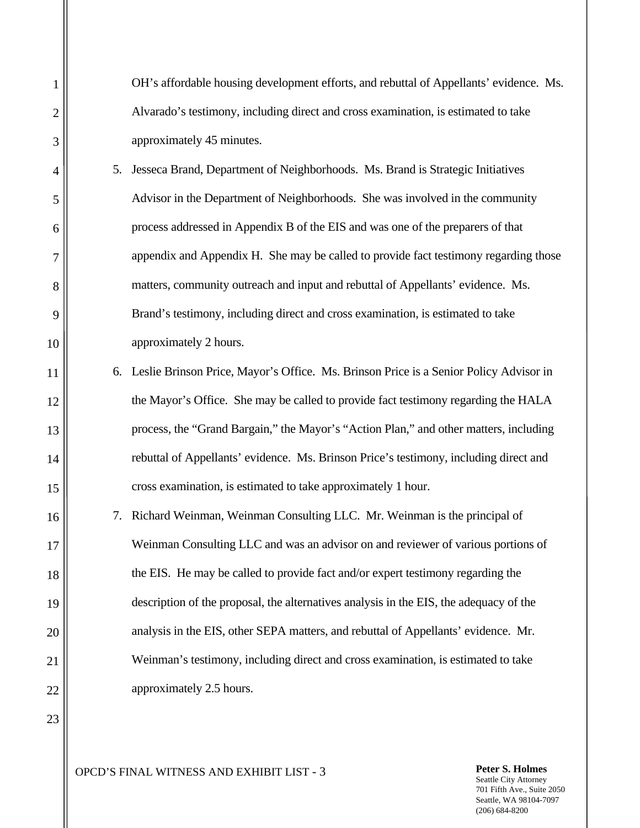OH's affordable housing development efforts, and rebuttal of Appellants' evidence. Ms. Alvarado's testimony, including direct and cross examination, is estimated to take approximately 45 minutes.

- 5. Jesseca Brand, Department of Neighborhoods. Ms. Brand is Strategic Initiatives Advisor in the Department of Neighborhoods. She was involved in the community process addressed in Appendix B of the EIS and was one of the preparers of that appendix and Appendix H. She may be called to provide fact testimony regarding those matters, community outreach and input and rebuttal of Appellants' evidence. Ms. Brand's testimony, including direct and cross examination, is estimated to take approximately 2 hours.
- 6. Leslie Brinson Price, Mayor's Office. Ms. Brinson Price is a Senior Policy Advisor in the Mayor's Office. She may be called to provide fact testimony regarding the HALA process, the "Grand Bargain," the Mayor's "Action Plan," and other matters, including rebuttal of Appellants' evidence. Ms. Brinson Price's testimony, including direct and cross examination, is estimated to take approximately 1 hour.
- 7. Richard Weinman, Weinman Consulting LLC. Mr. Weinman is the principal of Weinman Consulting LLC and was an advisor on and reviewer of various portions of the EIS. He may be called to provide fact and/or expert testimony regarding the description of the proposal, the alternatives analysis in the EIS, the adequacy of the analysis in the EIS, other SEPA matters, and rebuttal of Appellants' evidence. Mr. Weinman's testimony, including direct and cross examination, is estimated to take approximately 2.5 hours.

23

OPCD'S FINAL WITNESS AND EXHIBIT LIST - 3 **Peter S. Holmes**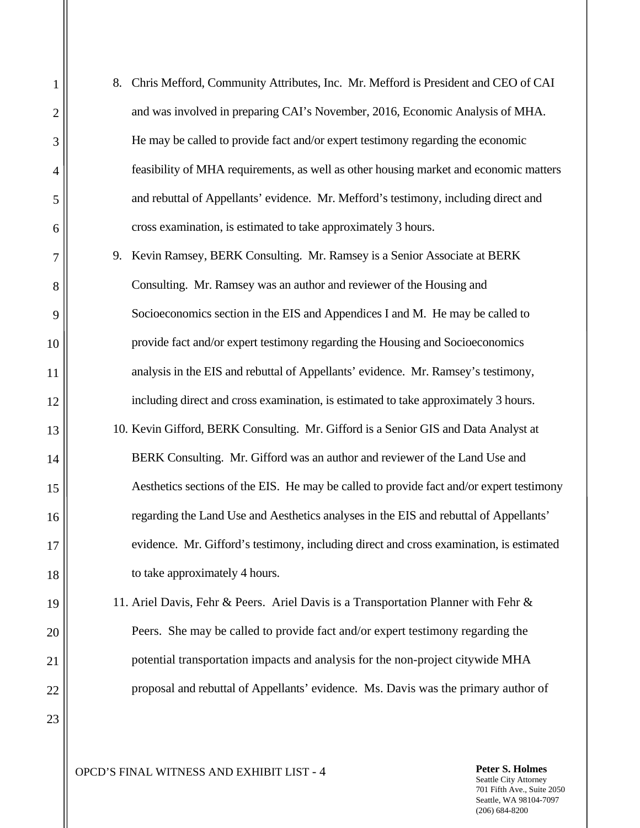8. Chris Mefford, Community Attributes, Inc. Mr. Mefford is President and CEO of CAI and was involved in preparing CAI's November, 2016, Economic Analysis of MHA. He may be called to provide fact and/or expert testimony regarding the economic feasibility of MHA requirements, as well as other housing market and economic matters and rebuttal of Appellants' evidence. Mr. Mefford's testimony, including direct and cross examination, is estimated to take approximately 3 hours.

9. Kevin Ramsey, BERK Consulting. Mr. Ramsey is a Senior Associate at BERK Consulting. Mr. Ramsey was an author and reviewer of the Housing and Socioeconomics section in the EIS and Appendices I and M. He may be called to provide fact and/or expert testimony regarding the Housing and Socioeconomics analysis in the EIS and rebuttal of Appellants' evidence. Mr. Ramsey's testimony, including direct and cross examination, is estimated to take approximately 3 hours. 10. Kevin Gifford, BERK Consulting. Mr. Gifford is a Senior GIS and Data Analyst at BERK Consulting. Mr. Gifford was an author and reviewer of the Land Use and Aesthetics sections of the EIS. He may be called to provide fact and/or expert testimony regarding the Land Use and Aesthetics analyses in the EIS and rebuttal of Appellants' evidence. Mr. Gifford's testimony, including direct and cross examination, is estimated to take approximately 4 hours.

11. Ariel Davis, Fehr & Peers. Ariel Davis is a Transportation Planner with Fehr & Peers. She may be called to provide fact and/or expert testimony regarding the potential transportation impacts and analysis for the non-project citywide MHA proposal and rebuttal of Appellants' evidence. Ms. Davis was the primary author of

OPCD'S FINAL WITNESS AND EXHIBIT LIST - 4 **Peter S. Holmes**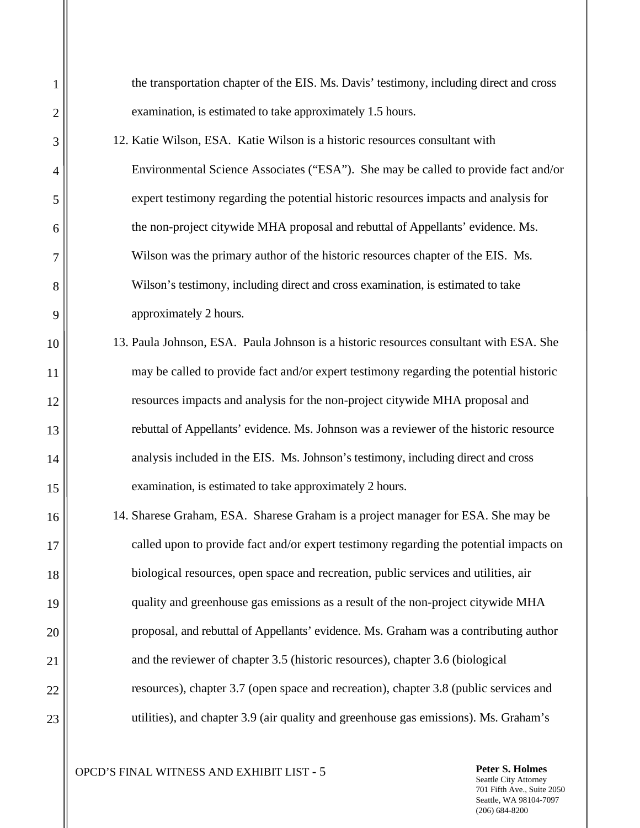the transportation chapter of the EIS. Ms. Davis' testimony, including direct and cross examination, is estimated to take approximately 1.5 hours.

- 12. Katie Wilson, ESA. Katie Wilson is a historic resources consultant with Environmental Science Associates ("ESA"). She may be called to provide fact and/or expert testimony regarding the potential historic resources impacts and analysis for the non-project citywide MHA proposal and rebuttal of Appellants' evidence. Ms. Wilson was the primary author of the historic resources chapter of the EIS. Ms. Wilson's testimony, including direct and cross examination, is estimated to take approximately 2 hours.
- 13. Paula Johnson, ESA. Paula Johnson is a historic resources consultant with ESA. She may be called to provide fact and/or expert testimony regarding the potential historic resources impacts and analysis for the non-project citywide MHA proposal and rebuttal of Appellants' evidence. Ms. Johnson was a reviewer of the historic resource analysis included in the EIS. Ms. Johnson's testimony, including direct and cross examination, is estimated to take approximately 2 hours.
- 14. Sharese Graham, ESA. Sharese Graham is a project manager for ESA. She may be called upon to provide fact and/or expert testimony regarding the potential impacts on biological resources, open space and recreation, public services and utilities, air quality and greenhouse gas emissions as a result of the non-project citywide MHA proposal, and rebuttal of Appellants' evidence. Ms. Graham was a contributing author and the reviewer of chapter 3.5 (historic resources), chapter 3.6 (biological resources), chapter 3.7 (open space and recreation), chapter 3.8 (public services and utilities), and chapter 3.9 (air quality and greenhouse gas emissions). Ms. Graham's

OPCD'S FINAL WITNESS AND EXHIBIT LIST - 5 **Peter S. Holmes**

1 2 3 4 5 6 7 8 9 10 11 12 13 14 15 16 17 18 19 20 21 22 23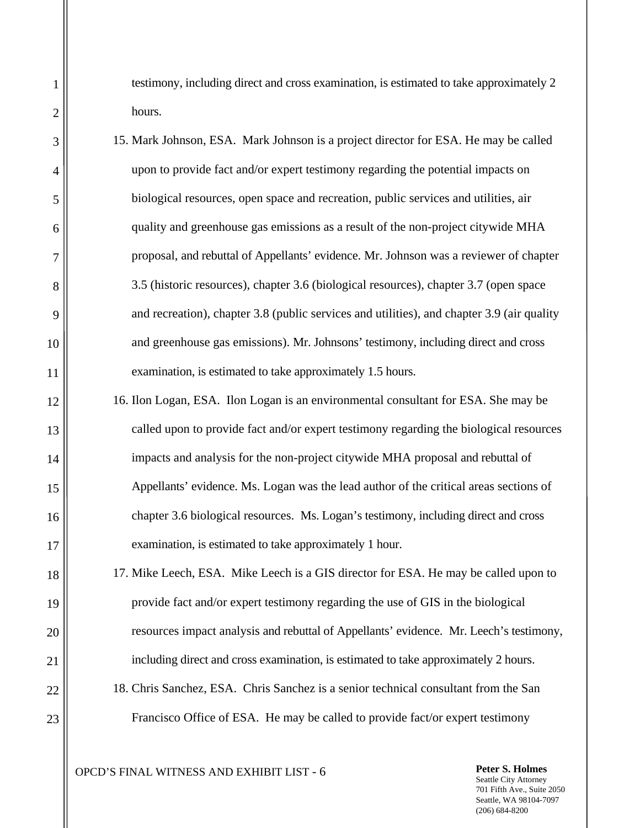testimony, including direct and cross examination, is estimated to take approximately 2 hours.

- 15. Mark Johnson, ESA. Mark Johnson is a project director for ESA. He may be called upon to provide fact and/or expert testimony regarding the potential impacts on biological resources, open space and recreation, public services and utilities, air quality and greenhouse gas emissions as a result of the non-project citywide MHA proposal, and rebuttal of Appellants' evidence. Mr. Johnson was a reviewer of chapter 3.5 (historic resources), chapter 3.6 (biological resources), chapter 3.7 (open space and recreation), chapter 3.8 (public services and utilities), and chapter 3.9 (air quality and greenhouse gas emissions). Mr. Johnsons' testimony, including direct and cross examination, is estimated to take approximately 1.5 hours.
- 16. Ilon Logan, ESA. Ilon Logan is an environmental consultant for ESA. She may be called upon to provide fact and/or expert testimony regarding the biological resources impacts and analysis for the non-project citywide MHA proposal and rebuttal of Appellants' evidence. Ms. Logan was the lead author of the critical areas sections of chapter 3.6 biological resources. Ms. Logan's testimony, including direct and cross examination, is estimated to take approximately 1 hour.
- 17. Mike Leech, ESA. Mike Leech is a GIS director for ESA. He may be called upon to provide fact and/or expert testimony regarding the use of GIS in the biological resources impact analysis and rebuttal of Appellants' evidence. Mr. Leech's testimony, including direct and cross examination, is estimated to take approximately 2 hours.
- 18. Chris Sanchez, ESA. Chris Sanchez is a senior technical consultant from the San Francisco Office of ESA. He may be called to provide fact/or expert testimony

OPCD'S FINAL WITNESS AND EXHIBIT LIST - 6 **Peter S. Holmes**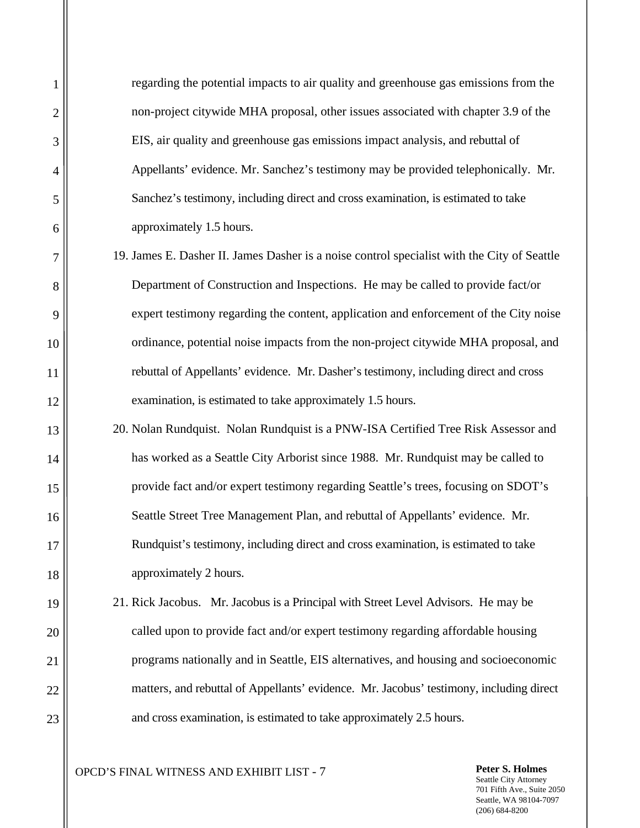regarding the potential impacts to air quality and greenhouse gas emissions from the non-project citywide MHA proposal, other issues associated with chapter 3.9 of the EIS, air quality and greenhouse gas emissions impact analysis, and rebuttal of Appellants' evidence. Mr. Sanchez's testimony may be provided telephonically. Mr. Sanchez's testimony, including direct and cross examination, is estimated to take approximately 1.5 hours.

- 19. James E. Dasher II. James Dasher is a noise control specialist with the City of Seattle Department of Construction and Inspections. He may be called to provide fact/or expert testimony regarding the content, application and enforcement of the City noise ordinance, potential noise impacts from the non-project citywide MHA proposal, and rebuttal of Appellants' evidence. Mr. Dasher's testimony, including direct and cross examination, is estimated to take approximately 1.5 hours.
- 20. Nolan Rundquist. Nolan Rundquist is a PNW-ISA Certified Tree Risk Assessor and has worked as a Seattle City Arborist since 1988. Mr. Rundquist may be called to provide fact and/or expert testimony regarding Seattle's trees, focusing on SDOT's Seattle Street Tree Management Plan, and rebuttal of Appellants' evidence. Mr. Rundquist's testimony, including direct and cross examination, is estimated to take approximately 2 hours.
- 21. Rick Jacobus. Mr. Jacobus is a Principal with Street Level Advisors. He may be called upon to provide fact and/or expert testimony regarding affordable housing programs nationally and in Seattle, EIS alternatives, and housing and socioeconomic matters, and rebuttal of Appellants' evidence. Mr. Jacobus' testimony, including direct and cross examination, is estimated to take approximately 2.5 hours.

OPCD'S FINAL WITNESS AND EXHIBIT LIST - 7 **Peter S. Holmes**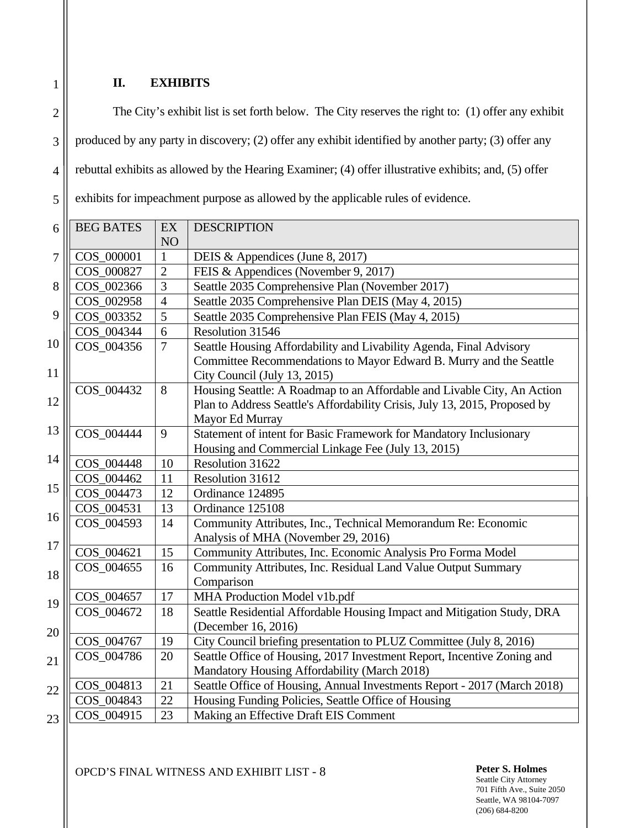## **II. EXHIBITS**

1

2 3 4 5 The City's exhibit list is set forth below. The City reserves the right to: (1) offer any exhibit produced by any party in discovery; (2) offer any exhibit identified by another party; (3) offer any rebuttal exhibits as allowed by the Hearing Examiner; (4) offer illustrative exhibits; and, (5) offer exhibits for impeachment purpose as allowed by the applicable rules of evidence.

| 6  | <b>BEG BATES</b> | EX             | <b>DESCRIPTION</b>                                                         |
|----|------------------|----------------|----------------------------------------------------------------------------|
|    |                  | NO             |                                                                            |
| 7  | COS_000001       | $\mathbf{1}$   | DEIS & Appendices (June 8, 2017)                                           |
|    | COS_000827       | $\overline{2}$ | FEIS & Appendices (November 9, 2017)                                       |
| 8  | COS_002366       | 3              | Seattle 2035 Comprehensive Plan (November 2017)                            |
|    | COS_002958       | $\overline{4}$ | Seattle 2035 Comprehensive Plan DEIS (May 4, 2015)                         |
| 9  | COS_003352       | $\overline{5}$ | Seattle 2035 Comprehensive Plan FEIS (May 4, 2015)                         |
|    | COS_004344       | 6              | Resolution 31546                                                           |
| 10 | COS_004356       | $\overline{7}$ | Seattle Housing Affordability and Livability Agenda, Final Advisory        |
|    |                  |                | Committee Recommendations to Mayor Edward B. Murry and the Seattle         |
| 11 |                  |                | City Council (July 13, 2015)                                               |
|    | COS_004432       | 8              | Housing Seattle: A Roadmap to an Affordable and Livable City, An Action    |
| 12 |                  |                | Plan to Address Seattle's Affordability Crisis, July 13, 2015, Proposed by |
|    |                  |                | Mayor Ed Murray                                                            |
| 13 | COS_004444       | 9              | Statement of intent for Basic Framework for Mandatory Inclusionary         |
|    |                  |                | Housing and Commercial Linkage Fee (July 13, 2015)                         |
| 14 | COS_004448       | 10             | Resolution 31622                                                           |
|    | COS_004462       | 11             | Resolution 31612                                                           |
| 15 | COS_004473       | 12             | Ordinance 124895                                                           |
|    | COS_004531       | 13             | Ordinance 125108                                                           |
| 16 | COS_004593       | 14             | Community Attributes, Inc., Technical Memorandum Re: Economic              |
|    |                  |                | Analysis of MHA (November 29, 2016)                                        |
| 17 | COS_004621       | 15             | Community Attributes, Inc. Economic Analysis Pro Forma Model               |
| 18 | COS_004655       | 16             | Community Attributes, Inc. Residual Land Value Output Summary              |
|    |                  |                | Comparison                                                                 |
| 19 | COS_004657       | 17             | MHA Production Model v1b.pdf                                               |
|    | COS_004672       | 18             | Seattle Residential Affordable Housing Impact and Mitigation Study, DRA    |
| 20 |                  |                | (December 16, 2016)                                                        |
|    | COS_004767       | 19             | City Council briefing presentation to PLUZ Committee (July 8, 2016)        |
| 21 | COS_004786       | 20             | Seattle Office of Housing, 2017 Investment Report, Incentive Zoning and    |
|    |                  |                | Mandatory Housing Affordability (March 2018)                               |
| 22 | COS_004813       | 21             | Seattle Office of Housing, Annual Investments Report - 2017 (March 2018)   |
|    | COS_004843       | 22             | Housing Funding Policies, Seattle Office of Housing                        |
| 23 | COS_004915       | 23             | Making an Effective Draft EIS Comment                                      |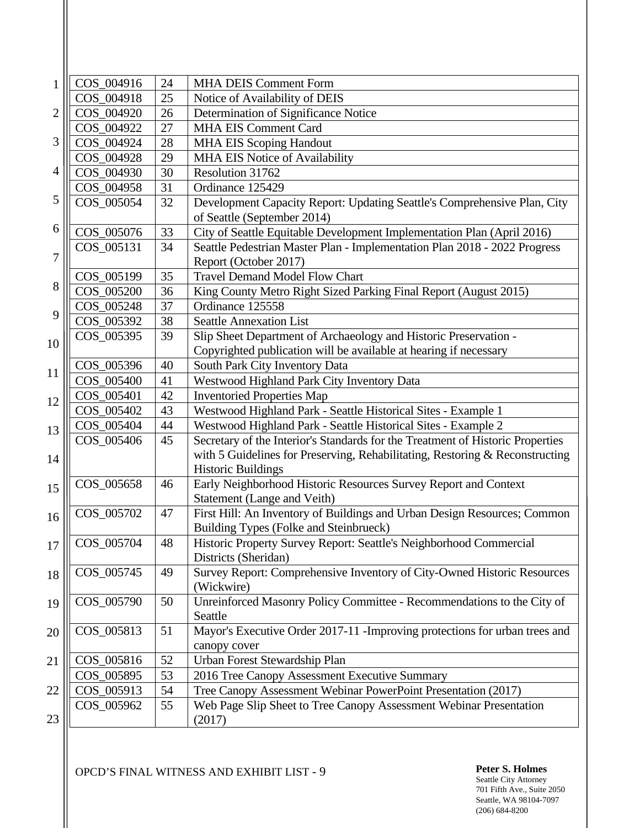| 1  | COS_004916 | 24       | <b>MHA DEIS Comment Form</b>                                                           |
|----|------------|----------|----------------------------------------------------------------------------------------|
|    | COS_004918 | 25       | Notice of Availability of DEIS                                                         |
| 2  | COS_004920 | 26       | Determination of Significance Notice                                                   |
|    | COS 004922 | 27       | <b>MHA EIS Comment Card</b>                                                            |
| 3  | COS_004924 | 28       | <b>MHA EIS Scoping Handout</b>                                                         |
|    | COS_004928 | 29       | <b>MHA EIS Notice of Availability</b>                                                  |
| 4  | COS_004930 | 30       | Resolution 31762                                                                       |
|    | COS 004958 | 31       | Ordinance 125429                                                                       |
| 5  | COS_005054 | 32       | Development Capacity Report: Updating Seattle's Comprehensive Plan, City               |
|    |            |          | of Seattle (September 2014)                                                            |
| 6  | COS_005076 | 33       | City of Seattle Equitable Development Implementation Plan (April 2016)                 |
|    | COS_005131 | 34       | Seattle Pedestrian Master Plan - Implementation Plan 2018 - 2022 Progress              |
| 7  |            |          | Report (October 2017)                                                                  |
|    | COS_005199 | 35       | <b>Travel Demand Model Flow Chart</b>                                                  |
| 8  | COS_005200 | 36       | King County Metro Right Sized Parking Final Report (August 2015)                       |
|    | COS_005248 | 37       | Ordinance 125558                                                                       |
| 9  | COS_005392 | 38       | <b>Seattle Annexation List</b>                                                         |
| 10 | COS_005395 | 39       | Slip Sheet Department of Archaeology and Historic Preservation -                       |
|    |            |          | Copyrighted publication will be available at hearing if necessary                      |
| 11 | COS_005396 | 40       | South Park City Inventory Data                                                         |
|    | COS_005400 | 41       | Westwood Highland Park City Inventory Data                                             |
| 12 | COS_005401 | 42       | <b>Inventoried Properties Map</b>                                                      |
|    | COS_005402 | 43       | Westwood Highland Park - Seattle Historical Sites - Example 1                          |
| 13 | COS_005404 | 44       | Westwood Highland Park - Seattle Historical Sites - Example 2                          |
|    | COS_005406 | 45       | Secretary of the Interior's Standards for the Treatment of Historic Properties         |
| 14 |            |          | with 5 Guidelines for Preserving, Rehabilitating, Restoring & Reconstructing           |
|    |            |          | <b>Historic Buildings</b>                                                              |
| 15 | COS_005658 | 46       | Early Neighborhood Historic Resources Survey Report and Context                        |
|    |            |          | Statement (Lange and Veith)                                                            |
| 16 | COS_005702 | 47       | First Hill: An Inventory of Buildings and Urban Design Resources; Common               |
|    |            |          | Building Types (Folke and Steinbrueck)                                                 |
| 17 | COS_005704 | 48       | Historic Property Survey Report: Seattle's Neighborhood Commercial                     |
|    |            |          | Districts (Sheridan)                                                                   |
| 18 | COS_005745 | 49       | Survey Report: Comprehensive Inventory of City-Owned Historic Resources                |
|    |            |          | (Wickwire)                                                                             |
| 19 | COS_005790 | 50       | Unreinforced Masonry Policy Committee - Recommendations to the City of                 |
|    | COS_005813 | 51       | Seattle<br>Mayor's Executive Order 2017-11 - Improving protections for urban trees and |
| 20 |            |          |                                                                                        |
|    | COS_005816 | 52       | canopy cover<br>Urban Forest Stewardship Plan                                          |
| 21 | COS_005895 | 53       | 2016 Tree Canopy Assessment Executive Summary                                          |
| 22 | COS_005913 |          | Tree Canopy Assessment Webinar PowerPoint Presentation (2017)                          |
|    | COS_005962 | 54<br>55 | Web Page Slip Sheet to Tree Canopy Assessment Webinar Presentation                     |
| 23 |            |          | (2017)                                                                                 |
|    |            |          |                                                                                        |

OPCD'S FINAL WITNESS AND EXHIBIT LIST - 9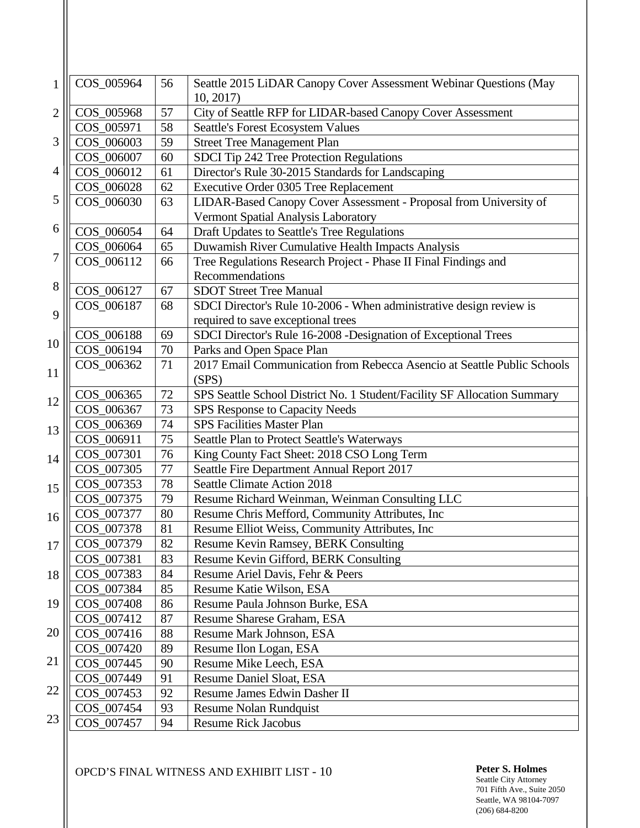| 1              | COS_005964 | 56 | Seattle 2015 LiDAR Canopy Cover Assessment Webinar Questions (May        |
|----------------|------------|----|--------------------------------------------------------------------------|
| $\overline{2}$ | COS_005968 | 57 | 10, 2017<br>City of Seattle RFP for LIDAR-based Canopy Cover Assessment  |
|                | COS_005971 | 58 | <b>Seattle's Forest Ecosystem Values</b>                                 |
| 3              | COS 006003 | 59 | <b>Street Tree Management Plan</b>                                       |
|                | COS_006007 | 60 | SDCI Tip 242 Tree Protection Regulations                                 |
| 4              | COS_006012 | 61 | Director's Rule 30-2015 Standards for Landscaping                        |
|                | COS_006028 | 62 | Executive Order 0305 Tree Replacement                                    |
| 5              | COS_006030 | 63 | LIDAR-Based Canopy Cover Assessment - Proposal from University of        |
|                |            |    | Vermont Spatial Analysis Laboratory                                      |
| 6              | COS_006054 | 64 | Draft Updates to Seattle's Tree Regulations                              |
|                | COS_006064 | 65 | Duwamish River Cumulative Health Impacts Analysis                        |
| 7              | COS_006112 | 66 | Tree Regulations Research Project - Phase II Final Findings and          |
|                |            |    | Recommendations                                                          |
| 8              | COS_006127 | 67 | <b>SDOT Street Tree Manual</b>                                           |
|                | COS_006187 | 68 | SDCI Director's Rule 10-2006 - When administrative design review is      |
| 9              |            |    | required to save exceptional trees                                       |
|                | COS_006188 | 69 | SDCI Director's Rule 16-2008 - Designation of Exceptional Trees          |
| 10             | COS_006194 | 70 | Parks and Open Space Plan                                                |
|                | COS_006362 | 71 | 2017 Email Communication from Rebecca Asencio at Seattle Public Schools  |
| 11             |            |    | (SPS)                                                                    |
| 12             | COS_006365 | 72 | SPS Seattle School District No. 1 Student/Facility SF Allocation Summary |
|                | COS_006367 | 73 | SPS Response to Capacity Needs                                           |
| 13             | COS_006369 | 74 | <b>SPS Facilities Master Plan</b>                                        |
|                | COS_006911 | 75 | Seattle Plan to Protect Seattle's Waterways                              |
| 14             | COS_007301 | 76 | King County Fact Sheet: 2018 CSO Long Term                               |
|                | COS_007305 | 77 | Seattle Fire Department Annual Report 2017                               |
| 15             | COS 007353 | 78 | <b>Seattle Climate Action 2018</b>                                       |
|                | COS_007375 | 79 | Resume Richard Weinman, Weinman Consulting LLC                           |
| 16             | COS_007377 | 80 | Resume Chris Mefford, Community Attributes, Inc                          |
|                | COS 007378 | 81 | Resume Elliot Weiss, Community Attributes, Inc                           |
| 17             | COS_007379 | 82 | <b>Resume Kevin Ramsey, BERK Consulting</b>                              |
|                | COS_007381 | 83 | Resume Kevin Gifford, BERK Consulting                                    |
| 18             | COS_007383 | 84 | Resume Ariel Davis, Fehr & Peers                                         |
|                | COS_007384 | 85 | Resume Katie Wilson, ESA                                                 |
| 19             | COS_007408 | 86 | Resume Paula Johnson Burke, ESA                                          |
|                | COS_007412 | 87 | Resume Sharese Graham, ESA                                               |
| 20             | COS_007416 | 88 | Resume Mark Johnson, ESA                                                 |
|                | COS_007420 | 89 | Resume Ilon Logan, ESA                                                   |
| 21             | COS_007445 | 90 | Resume Mike Leech, ESA                                                   |
| 22             | COS_007449 | 91 | Resume Daniel Sloat, ESA                                                 |
|                | COS_007453 | 92 | Resume James Edwin Dasher II                                             |
| 23             | COS_007454 | 93 | <b>Resume Nolan Rundquist</b>                                            |
|                | COS_007457 | 94 | <b>Resume Rick Jacobus</b>                                               |

OPCD'S FINAL WITNESS AND EXHIBIT LIST - 10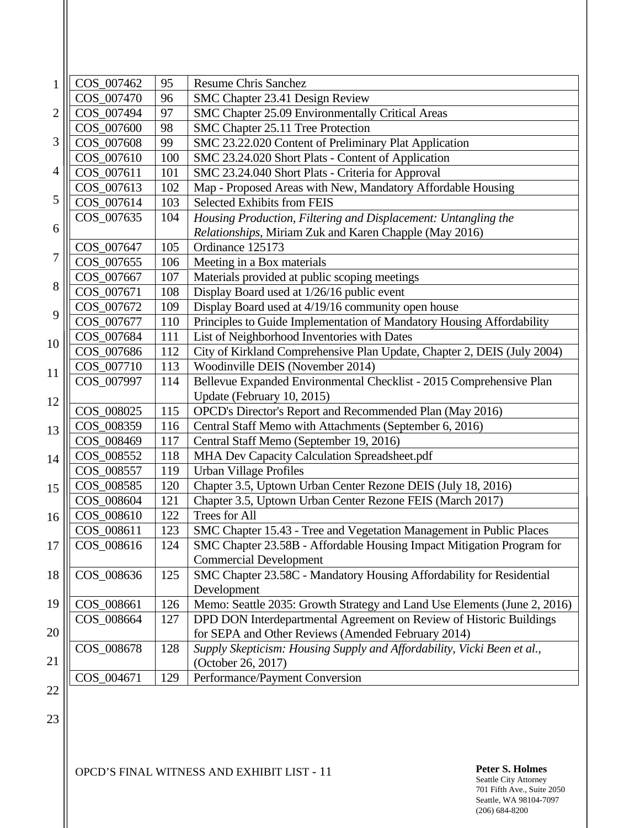| $\mathbf{1}$ | COS_007462 | 95  | <b>Resume Chris Sanchez</b>                                              |
|--------------|------------|-----|--------------------------------------------------------------------------|
|              | COS_007470 | 96  | SMC Chapter 23.41 Design Review                                          |
| 2            | COS_007494 | 97  | SMC Chapter 25.09 Environmentally Critical Areas                         |
|              | COS_007600 | 98  | SMC Chapter 25.11 Tree Protection                                        |
| 3            | COS_007608 | 99  | SMC 23.22.020 Content of Preliminary Plat Application                    |
|              | COS_007610 | 100 | SMC 23.24.020 Short Plats - Content of Application                       |
| 4            | COS_007611 | 101 | SMC 23.24.040 Short Plats - Criteria for Approval                        |
|              | COS_007613 | 102 | Map - Proposed Areas with New, Mandatory Affordable Housing              |
| 5            | COS_007614 | 103 | Selected Exhibits from FEIS                                              |
|              | COS 007635 | 104 | Housing Production, Filtering and Displacement: Untangling the           |
| 6            |            |     | Relationships, Miriam Zuk and Karen Chapple (May 2016)                   |
|              | COS_007647 | 105 | Ordinance 125173                                                         |
| 7            | COS_007655 | 106 | Meeting in a Box materials                                               |
|              | COS_007667 | 107 | Materials provided at public scoping meetings                            |
| 8            | COS_007671 | 108 | Display Board used at 1/26/16 public event                               |
| 9            | COS_007672 | 109 | Display Board used at 4/19/16 community open house                       |
|              | COS_007677 | 110 | Principles to Guide Implementation of Mandatory Housing Affordability    |
| 10           | COS_007684 | 111 | List of Neighborhood Inventories with Dates                              |
|              | COS_007686 | 112 | City of Kirkland Comprehensive Plan Update, Chapter 2, DEIS (July 2004)  |
| 11           | COS 007710 | 113 | Woodinville DEIS (November 2014)                                         |
|              | COS_007997 | 114 | Bellevue Expanded Environmental Checklist - 2015 Comprehensive Plan      |
| 12           |            |     | Update (February 10, 2015)                                               |
|              | COS_008025 | 115 | OPCD's Director's Report and Recommended Plan (May 2016)                 |
| 13           | COS_008359 | 116 | Central Staff Memo with Attachments (September 6, 2016)                  |
|              | COS_008469 | 117 | Central Staff Memo (September 19, 2016)                                  |
| 14           | COS_008552 | 118 | MHA Dev Capacity Calculation Spreadsheet.pdf                             |
|              | COS_008557 | 119 | <b>Urban Village Profiles</b>                                            |
| 15           | COS_008585 | 120 | Chapter 3.5, Uptown Urban Center Rezone DEIS (July 18, 2016)             |
|              | COS_008604 | 121 | Chapter 3.5, Uptown Urban Center Rezone FEIS (March 2017)                |
| 16           | COS_008610 | 122 | Trees for All                                                            |
|              | COS 008611 | 123 | SMC Chapter 15.43 - Tree and Vegetation Management in Public Places      |
| 17           | COS_008616 | 124 | SMC Chapter 23.58B - Affordable Housing Impact Mitigation Program for    |
|              |            |     | <b>Commercial Development</b>                                            |
| 18           | COS_008636 | 125 | SMC Chapter 23.58C - Mandatory Housing Affordability for Residential     |
|              |            |     | Development                                                              |
| 19           | COS_008661 | 126 | Memo: Seattle 2035: Growth Strategy and Land Use Elements (June 2, 2016) |
|              | COS_008664 | 127 | DPD DON Interdepartmental Agreement on Review of Historic Buildings      |
| 20           |            |     | for SEPA and Other Reviews (Amended February 2014)                       |
|              | COS_008678 | 128 | Supply Skepticism: Housing Supply and Affordability, Vicki Been et al.,  |
| 21           |            |     | (October 26, 2017)                                                       |
|              | COS_004671 | 129 | Performance/Payment Conversion                                           |
| 22           |            |     |                                                                          |

23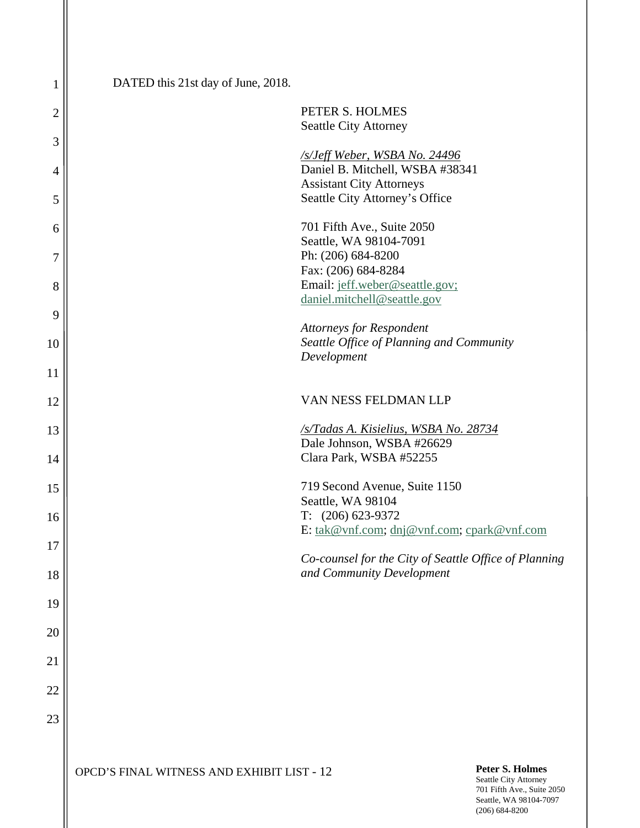| 1              | DATED this 21st day of June, 2018. |                                                                    |
|----------------|------------------------------------|--------------------------------------------------------------------|
| $\overline{c}$ |                                    | PETER S. HOLMES<br><b>Seattle City Attorney</b>                    |
| 3              |                                    | <b>SSIeff Weber, WSBA No. 24496</b>                                |
| 4              |                                    | Daniel B. Mitchell, WSBA #38341<br><b>Assistant City Attorneys</b> |
| 5              |                                    | Seattle City Attorney's Office                                     |
| 6              |                                    | 701 Fifth Ave., Suite 2050<br>Seattle, WA 98104-7091               |
| 7              |                                    | Ph: (206) 684-8200<br>Fax: (206) 684-8284                          |
| 8              |                                    | Email: jeff.weber@seattle.gov;<br>daniel.mitchell@seattle.gov      |
| 9              |                                    | <b>Attorneys for Respondent</b>                                    |
| 10             |                                    | Seattle Office of Planning and Community<br>Development            |
| 11             |                                    |                                                                    |
| 12             |                                    | VAN NESS FELDMAN LLP                                               |
| 13             |                                    | /s/Tadas A. Kisielius, WSBA No. 28734<br>Dale Johnson, WSBA #26629 |
| 14             |                                    | Clara Park, WSBA #52255                                            |
| 15             |                                    | 719 Second Avenue, Suite 1150<br>Seattle, WA 98104                 |
| 16             |                                    | $T: (206) 623-9372$<br>E: tak@vnf.com; dnj@vnf.com; cpark@vnf.com  |
| 17             |                                    | Co-counsel for the City of Seattle Office of Planning              |
| 18             |                                    | and Community Development                                          |
| 19             |                                    |                                                                    |
| 20             |                                    |                                                                    |
| 21             |                                    |                                                                    |
| 22             |                                    |                                                                    |
| 23             |                                    |                                                                    |
|                |                                    |                                                                    |

**OPCD'S FINAL WITNESS AND EXHIBIT LIST - 12** 

**Peter S. Holmes**<br>Seattle City Attorney 701 Fifth Ave., Suite 2050 Seattle, WA 98104-7097 (206) 684-8200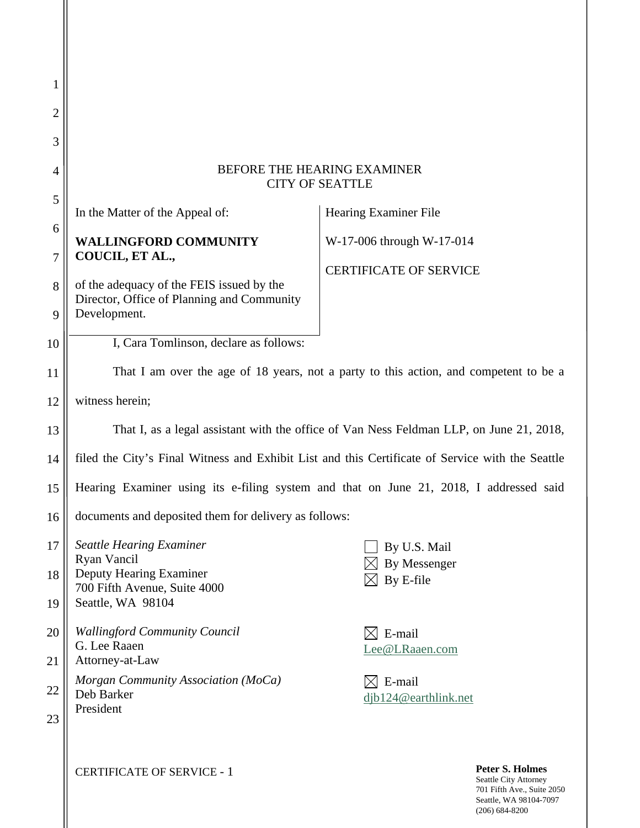| 1              |                                                                                                  |                                |                                                                                                         |  |  |
|----------------|--------------------------------------------------------------------------------------------------|--------------------------------|---------------------------------------------------------------------------------------------------------|--|--|
| $\overline{2}$ |                                                                                                  |                                |                                                                                                         |  |  |
| 3              |                                                                                                  |                                |                                                                                                         |  |  |
| 4              | BEFORE THE HEARING EXAMINER<br><b>CITY OF SEATTLE</b>                                            |                                |                                                                                                         |  |  |
| 5              | In the Matter of the Appeal of:<br><b>Hearing Examiner File</b>                                  |                                |                                                                                                         |  |  |
| 6              | <b>WALLINGFORD COMMUNITY</b>                                                                     | W-17-006 through W-17-014      |                                                                                                         |  |  |
| 7              | COUCIL, ET AL.,                                                                                  | <b>CERTIFICATE OF SERVICE</b>  |                                                                                                         |  |  |
| 8              | of the adequacy of the FEIS issued by the<br>Director, Office of Planning and Community          |                                |                                                                                                         |  |  |
| 9              | Development.                                                                                     |                                |                                                                                                         |  |  |
| 10             | I, Cara Tomlinson, declare as follows:                                                           |                                |                                                                                                         |  |  |
| 11             | That I am over the age of 18 years, not a party to this action, and competent to be a            |                                |                                                                                                         |  |  |
| 12             | witness herein;                                                                                  |                                |                                                                                                         |  |  |
| 13             | That I, as a legal assistant with the office of Van Ness Feldman LLP, on June 21, 2018,          |                                |                                                                                                         |  |  |
| 14             | filed the City's Final Witness and Exhibit List and this Certificate of Service with the Seattle |                                |                                                                                                         |  |  |
| 15             | Hearing Examiner using its e-filing system and that on June 21, 2018, I addressed said           |                                |                                                                                                         |  |  |
| 16             | documents and deposited them for delivery as follows:                                            |                                |                                                                                                         |  |  |
| 17             | <b>Seattle Hearing Examiner</b><br>Ryan Vancil                                                   | By U.S. Mail<br>By Messenger   |                                                                                                         |  |  |
| 18             | Deputy Hearing Examiner<br>700 Fifth Avenue, Suite 4000                                          | By E-file                      |                                                                                                         |  |  |
| 19             | Seattle, WA 98104                                                                                |                                |                                                                                                         |  |  |
| 20             | <b>Wallingford Community Council</b><br>G. Lee Raaen                                             | E-mail<br>Lee@LRaaen.com       |                                                                                                         |  |  |
| 21             | Attorney-at-Law                                                                                  |                                |                                                                                                         |  |  |
| 22             | Morgan Community Association (MoCa)<br>Deb Barker                                                | E-mail<br>djb124@earthlink.net |                                                                                                         |  |  |
| 23             | President                                                                                        |                                |                                                                                                         |  |  |
|                | <b>CERTIFICATE OF SERVICE - 1</b>                                                                |                                | <b>Peter S. Holmes</b><br>Seattle City Attorney<br>701 Fifth Ave., Suite 2050<br>Seattle, WA 98104-7097 |  |  |

(206) 684-8200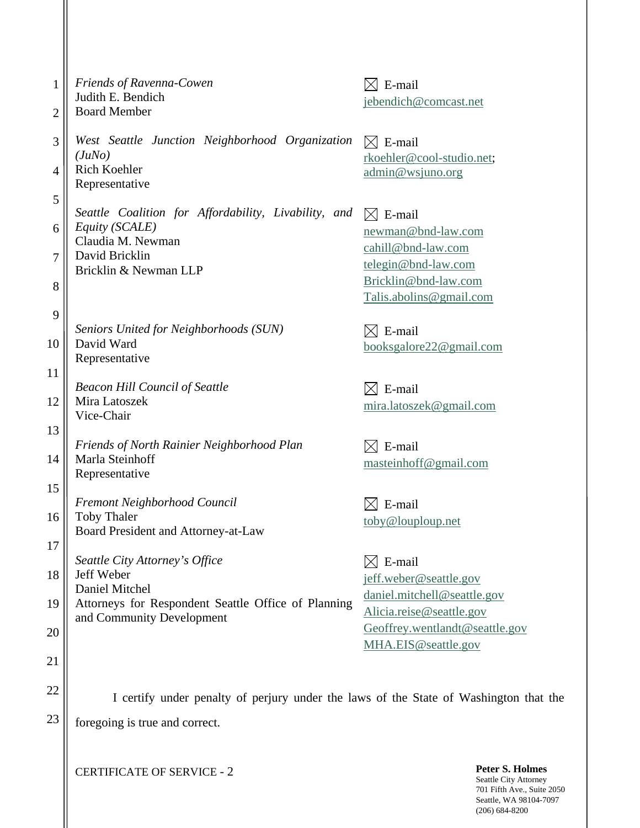| $\mathbf{1}$       | Friends of Ravenna-Cowen<br>Judith E. Bendich                                             | E-mail<br>$\boxtimes$                                      |
|--------------------|-------------------------------------------------------------------------------------------|------------------------------------------------------------|
| 2                  | <b>Board Member</b>                                                                       | jebendich@comcast.net                                      |
| 3                  | West Seattle Junction Neighborhood Organization<br>(JuNo)                                 | $\boxtimes$ E-mail<br>rkoehler@cool-studio.net;            |
| 4                  | <b>Rich Koehler</b><br>Representative                                                     | admin@wsjuno.org                                           |
| $\mathfrak s$<br>6 | Seattle Coalition for Affordability, Livability, and<br>Equity (SCALE)                    | $\boxtimes$ E-mail<br>newman@bnd-law.com                   |
| 7                  | Claudia M. Newman<br>David Bricklin<br>Bricklin & Newman LLP                              | cahill@bnd-law.com<br>telegin@bnd-law.com                  |
| 8                  |                                                                                           | Bricklin@bnd-law.com<br>Talis.abolins@gmail.com            |
| 9<br>10            | Seniors United for Neighborhoods (SUN)<br>David Ward                                      | E-mail<br>$\bowtie$<br>booksgalore22@gmail.com             |
| 11                 | Representative                                                                            |                                                            |
| 12                 | <b>Beacon Hill Council of Seattle</b><br>Mira Latoszek<br>Vice-Chair                      | E-mail<br>$\bowtie$<br>mira.latoszek@gmail.com             |
| 13<br>14           | Friends of North Rainier Neighborhood Plan<br>Marla Steinhoff<br>Representative           | E-mail<br>$\boxtimes$<br>masteinhoff@gmail.com             |
| 15<br>16           | Fremont Neighborhood Council<br><b>Toby Thaler</b><br>Board President and Attorney-at-Law | E-mail<br>toby@louploup.net                                |
| 17                 | Seattle City Attorney's Office                                                            | E-mail                                                     |
| 18                 | Jeff Weber<br>Daniel Mitchel                                                              | jeff.weber@seattle.gov<br>daniel.mitchell@seattle.gov      |
| 19<br>20           | Attorneys for Respondent Seattle Office of Planning<br>and Community Development          | Alicia.reise@seattle.gov<br>Geoffrey.wentlandt@seattle.gov |
| 21                 |                                                                                           | MHA.EIS@seattle.gov                                        |
| 22                 | I certify under penalty of perjury under the laws of the State of Washington that the     |                                                            |
| 23                 | foregoing is true and correct.                                                            |                                                            |
|                    |                                                                                           |                                                            |

**CERTIFICATE OF SERVICE - 2**